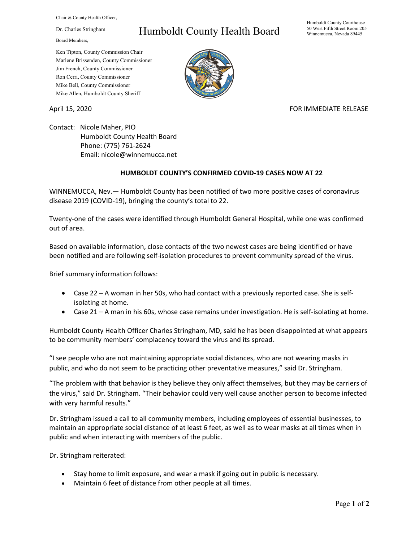Chair & County Health Officer,

Dr. Charles Stringham

Board Members,

## Humboldt County Health Board

Humboldt County Courthouse 50 West Fifth Street Room 205 Winnemucca, Nevada 89445

Ken Tipton, County Commission Chair Marlene Brissenden, County Commissioner Jim French, County Commissioner Ron Cerri, County Commissioner Mike Bell, County Commissioner Mike Allen, Humboldt County Sheriff

## April 15, 2020 **FOR IMMEDIATE RELEASE**

Contact: Nicole Maher, PIO Humboldt County Health Board Phone: (775) 761-2624 Email: nicole@winnemucca.net

## **HUMBOLDT COUNTY'S CONFIRMED COVID-19 CASES NOW AT 22**

WINNEMUCCA, Nev.— Humboldt County has been notified of two more positive cases of coronavirus disease 2019 (COVID-19), bringing the county's total to 22.

Twenty-one of the cases were identified through Humboldt General Hospital, while one was confirmed out of area.

Based on available information, close contacts of the two newest cases are being identified or have been notified and are following self-isolation procedures to prevent community spread of the virus.

Brief summary information follows:

- Case 22 A woman in her 50s, who had contact with a previously reported case. She is selfisolating at home.
- Case 21 A man in his 60s, whose case remains under investigation. He is self-isolating at home.

Humboldt County Health Officer Charles Stringham, MD, said he has been disappointed at what appears to be community members' complacency toward the virus and its spread.

"I see people who are not maintaining appropriate social distances, who are not wearing masks in public, and who do not seem to be practicing other preventative measures," said Dr. Stringham.

"The problem with that behavior is they believe they only affect themselves, but they may be carriers of the virus," said Dr. Stringham. "Their behavior could very well cause another person to become infected with very harmful results."

Dr. Stringham issued a call to all community members, including employees of essential businesses, to maintain an appropriate social distance of at least 6 feet, as well as to wear masks at all times when in public and when interacting with members of the public.

Dr. Stringham reiterated:

- Stay home to limit exposure, and wear a mask if going out in public is necessary.
- Maintain 6 feet of distance from other people at all times.